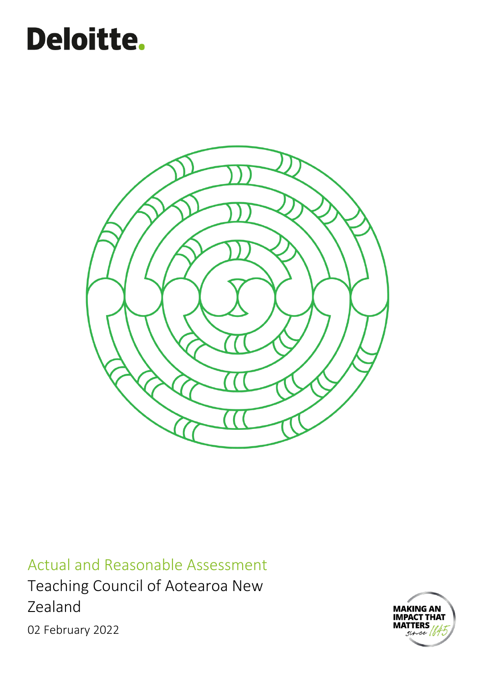# Deloitte.



Actual and Reasonable Assessment Teaching Council of Aotearoa New Zealand 02 February 2022

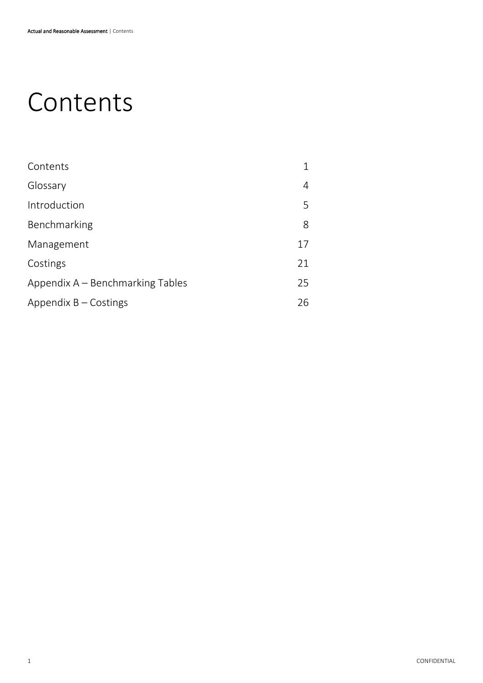# <span id="page-1-0"></span>Contents

| Contents                         |    |
|----------------------------------|----|
| Glossary                         | 4  |
| Introduction                     | 5  |
| Benchmarking                     | 8  |
| Management                       | 17 |
| Costings                         | 21 |
| Appendix A – Benchmarking Tables | 25 |
| Appendix $B -$ Costings          | 26 |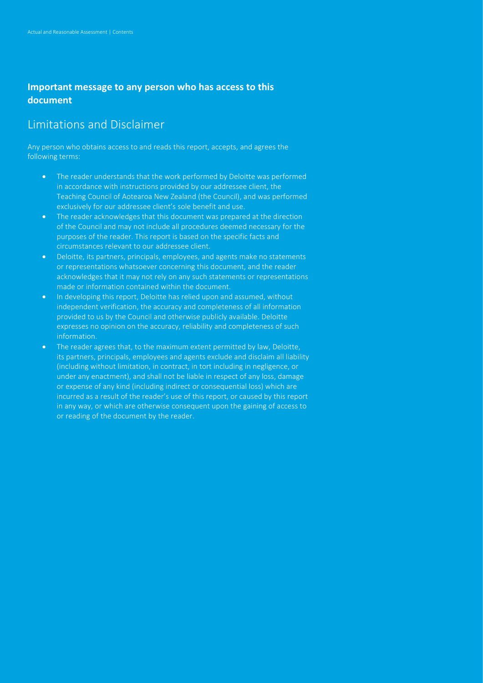### **Important message to any person who has access to this document**

# Limitations and Disclaimer

Any person who obtains access to and reads this report, accepts, and agrees the following terms:

- The reader understands that the work performed by Deloitte was performed in accordance with instructions provided by our addressee client, the Teaching Council of Aotearoa New Zealand (the Council), and was performed exclusively for our addressee client's sole benefit and use.
- The reader acknowledges that this document was prepared at the direction of the Council and may not include all procedures deemed necessary for the purposes of the reader. This report is based on the specific facts and circumstances relevant to our addressee client.
- Deloitte, its partners, principals, employees, and agents make no statements or representations whatsoever concerning this document, and the reader acknowledges that it may not rely on any such statements or representations made or information contained within the document.
- In developing this report, Deloitte has relied upon and assumed, without independent verification, the accuracy and completeness of all information provided to us by the Council and otherwise publicly available. Deloitte expresses no opinion on the accuracy, reliability and completeness of such information.
- The reader agrees that, to the maximum extent permitted by law, Deloitte, its partners, principals, employees and agents exclude and disclaim all liability (including without limitation, in contract, in tort including in negligence, or under any enactment), and shall not be liable in respect of any loss, damage or expense of any kind (including indirect or consequential loss) which are incurred as a result of the reader's use of this report, or caused by this report in any way, or which are otherwise consequent upon the gaining of access to or reading of the document by the reader.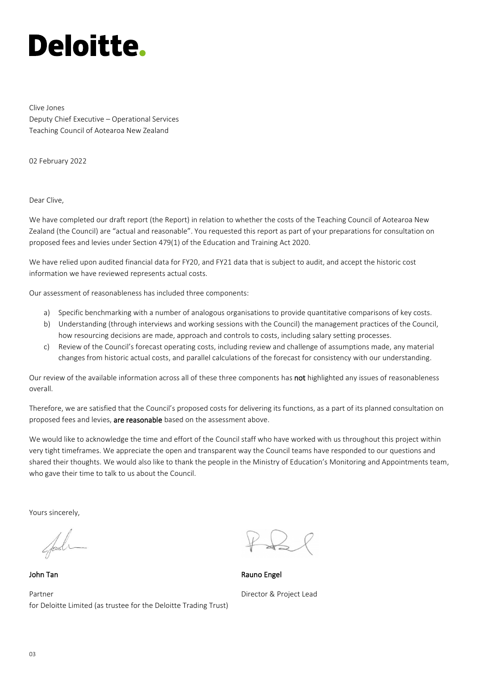Clive Jones Deputy Chief Executive – Operational Services Teaching Council of Aotearoa New Zealand

02 February 2022

Dear Clive,

We have completed our draft report (the Report) in relation to whether the costs of the Teaching Council of Aotearoa New Zealand (the Council) are "actual and reasonable". You requested this report as part of your preparations for consultation on proposed fees and levies under Section 479(1) of the Education and Training Act 2020.

We have relied upon audited financial data for FY20, and FY21 data that is subject to audit, and accept the historic cost information we have reviewed represents actual costs.

Our assessment of reasonableness has included three components:

- a) Specific benchmarking with a number of analogous organisations to provide quantitative comparisons of key costs.
- b) Understanding (through interviews and working sessions with the Council) the management practices of the Council, how resourcing decisions are made, approach and controls to costs, including salary setting processes.
- c) Review of the Council's forecast operating costs, including review and challenge of assumptions made, any material changes from historic actual costs, and parallel calculations of the forecast for consistency with our understanding.

Our review of the available information across all of these three components has not highlighted any issues of reasonableness overall.

Therefore, we are satisfied that the Council's proposed costs for delivering its functions, as a part of its planned consultation on proposed fees and levies, are reasonable based on the assessment above.

We would like to acknowledge the time and effort of the Council staff who have worked with us throughout this project within very tight timeframes. We appreciate the open and transparent way the Council teams have responded to our questions and shared their thoughts. We would also like to thank the people in the Ministry of Education's Monitoring and Appointments team, who gave their time to talk to us about the Council.

Yours sincerely,

John Tan

Partner for Deloitte Limited (as trustee for the Deloitte Trading Trust)

Rauno Engel Director & Project Lead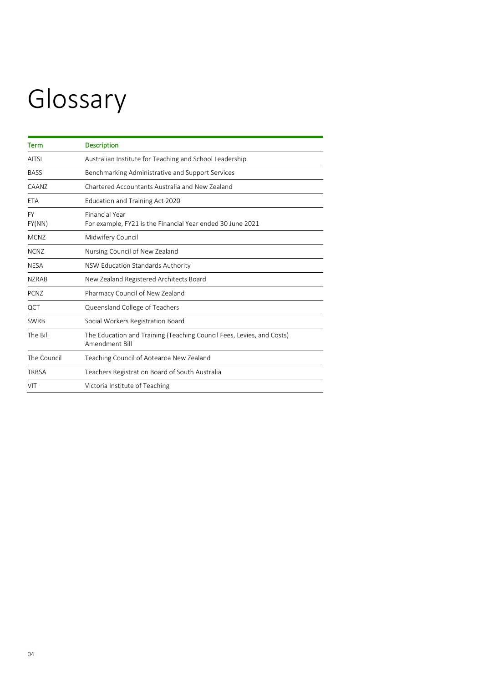# <span id="page-4-0"></span>Glossary

| <b>Term</b>         | <b>Description</b>                                                                      |
|---------------------|-----------------------------------------------------------------------------------------|
| <b>AITSL</b>        | Australian Institute for Teaching and School Leadership                                 |
| <b>BASS</b>         | Benchmarking Administrative and Support Services                                        |
| <b>CAANZ</b>        | Chartered Accountants Australia and New Zealand                                         |
| ETA                 | Education and Training Act 2020                                                         |
| <b>FY</b><br>FY(NN) | <b>Financial Year</b><br>For example, FY21 is the Financial Year ended 30 June 2021     |
| <b>MCNZ</b>         | Midwifery Council                                                                       |
| <b>NCNZ</b>         | Nursing Council of New Zealand                                                          |
| <b>NESA</b>         | NSW Education Standards Authority                                                       |
| <b>NZRAB</b>        | New Zealand Registered Architects Board                                                 |
| <b>PCNZ</b>         | Pharmacy Council of New Zealand                                                         |
| QCT                 | Queensland College of Teachers                                                          |
| <b>SWRB</b>         | Social Workers Registration Board                                                       |
| The Bill            | The Education and Training (Teaching Council Fees, Levies, and Costs)<br>Amendment Bill |
| The Council         | Teaching Council of Aotearoa New Zealand                                                |
| <b>TRBSA</b>        | Teachers Registration Board of South Australia                                          |
| VIT                 | Victoria Institute of Teaching                                                          |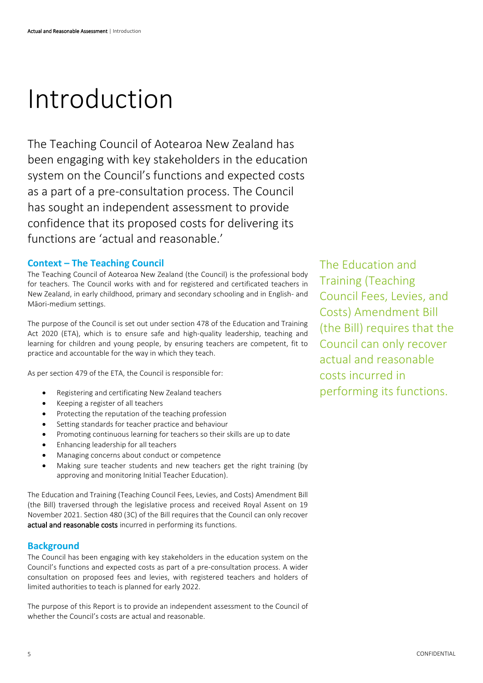# <span id="page-5-0"></span>Introduction

The Teaching Council of Aotearoa New Zealand has been engaging with key stakeholders in the education system on the Council's functions and expected costs as a part of a pre-consultation process. The Council has sought an independent assessment to provide confidence that its proposed costs for delivering its functions are 'actual and reasonable.'

#### **Context – The Teaching Council**

The Teaching Council of Aotearoa New Zealand (the Council) is the professional body for teachers. The Council works with and for registered and certificated teachers in New Zealand, in early childhood, primary and secondary schooling and in English- and Māori-medium settings.

The purpose of the Council is set out under section 478 of the Education and Training Act 2020 (ETA), which is to ensure safe and high-quality leadership, teaching and learning for children and young people, by ensuring teachers are competent, fit to practice and accountable for the way in which they teach.

As per section 479 of the ETA, the Council is responsible for:

- Registering and certificating New Zealand teachers
- Keeping a register of all teachers
- Protecting the reputation of the teaching profession
- Setting standards for teacher practice and behaviour
- Promoting continuous learning for teachers so their skills are up to date
- Enhancing leadership for all teachers
- Managing concerns about conduct or competence
- Making sure teacher students and new teachers get the right training (by approving and monitoring Initial Teacher Education).

The Education and Training (Teaching Council Fees, Levies, and Costs) Amendment Bill (the Bill) traversed through the legislative process and received Royal Assent on 19 November 2021. Section 480 (3C) of the Bill requires that the Council can only recover actual and reasonable costs incurred in performing its functions.

#### **Background**

The Council has been engaging with key stakeholders in the education system on the Council's functions and expected costs as part of a pre-consultation process. A wider consultation on proposed fees and levies, with registered teachers and holders of limited authorities to teach is planned for early 2022.

The purpose of this Report is to provide an independent assessment to the Council of whether the Council's costs are actual and reasonable.

The Education and Training (Teaching Council Fees, Levies, and Costs) Amendment Bill (the Bill) requires that the Council can only recover actual and reasonable costs incurred in performing its functions.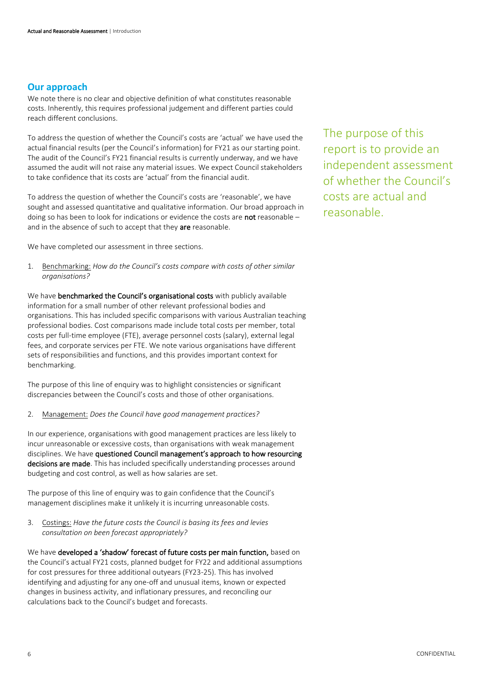#### **Our approach**

We note there is no clear and objective definition of what constitutes reasonable costs. Inherently, this requires professional judgement and different parties could reach different conclusions.

To address the question of whether the Council's costs are 'actual' we have used the actual financial results (per the Council's information) for FY21 as our starting point. The audit of the Council's FY21 financial results is currently underway, and we have assumed the audit will not raise any material issues. We expect Council stakeholders to take confidence that its costs are 'actual' from the financial audit.

To address the question of whether the Council's costs are 'reasonable', we have sought and assessed quantitative and qualitative information. Our broad approach in doing so has been to look for indications or evidence the costs are not reasonable – and in the absence of such to accept that they are reasonable.

We have completed our assessment in three sections.

1. Benchmarking: *How do the Council's costs compare with costs of other similar organisations?*

We have benchmarked the Council's organisational costs with publicly available information for a small number of other relevant professional bodies and organisations. This has included specific comparisons with various Australian teaching professional bodies. Cost comparisons made include total costs per member, total costs per full-time employee (FTE), average personnel costs (salary), external legal fees, and corporate services per FTE. We note various organisations have different sets of responsibilities and functions, and this provides important context for benchmarking.

The purpose of this line of enquiry was to highlight consistencies or significant discrepancies between the Council's costs and those of other organisations.

2. Management: *Does the Council have good management practices?*

In our experience, organisations with good management practices are less likely to incur unreasonable or excessive costs, than organisations with weak management disciplines. We have questioned Council management's approach to how resourcing decisions are made. This has included specifically understanding processes around budgeting and cost control, as well as how salaries are set.

The purpose of this line of enquiry was to gain confidence that the Council's management disciplines make it unlikely it is incurring unreasonable costs.

3. Costings: *Have the future costs the Council is basing its fees and levies consultation on been forecast appropriately?*

We have developed a 'shadow' forecast of future costs per main function, based on the Council's actual FY21 costs, planned budget for FY22 and additional assumptions for cost pressures for three additional outyears (FY23-25). This has involved identifying and adjusting for any one-off and unusual items, known or expected changes in business activity, and inflationary pressures, and reconciling our calculations back to the Council's budget and forecasts.

The purpose of this report is to provide an independent assessment of whether the Council's costs are actual and reasonable.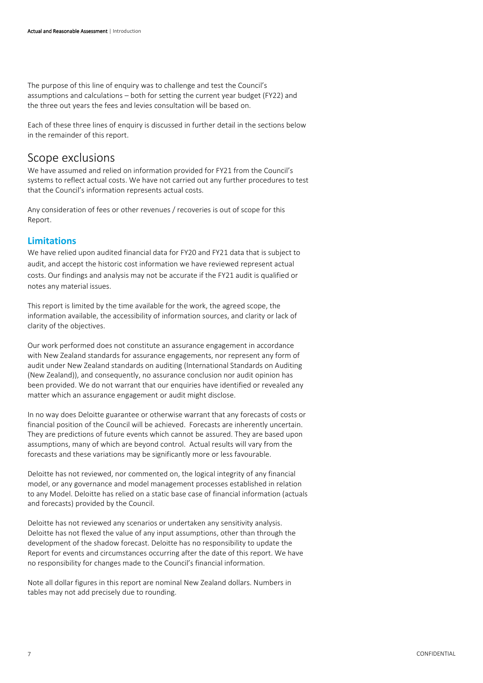The purpose of this line of enquiry was to challenge and test the Council's assumptions and calculations – both for setting the current year budget (FY22) and the three out years the fees and levies consultation will be based on.

Each of these three lines of enquiry is discussed in further detail in the sections below in the remainder of this report.

### Scope exclusions

We have assumed and relied on information provided for FY21 from the Council's systems to reflect actual costs. We have not carried out any further procedures to test that the Council's information represents actual costs.

Any consideration of fees or other revenues / recoveries is out of scope for this Report.

#### **Limitations**

We have relied upon audited financial data for FY20 and FY21 data that is subject to audit, and accept the historic cost information we have reviewed represent actual costs. Our findings and analysis may not be accurate if the FY21 audit is qualified or notes any material issues.

This report is limited by the time available for the work, the agreed scope, the information available, the accessibility of information sources, and clarity or lack of clarity of the objectives.

Our work performed does not constitute an assurance engagement in accordance with New Zealand standards for assurance engagements, nor represent any form of audit under New Zealand standards on auditing (International Standards on Auditing (New Zealand)), and consequently, no assurance conclusion nor audit opinion has been provided. We do not warrant that our enquiries have identified or revealed any matter which an assurance engagement or audit might disclose.

In no way does Deloitte guarantee or otherwise warrant that any forecasts of costs or financial position of the Council will be achieved. Forecasts are inherently uncertain. They are predictions of future events which cannot be assured. They are based upon assumptions, many of which are beyond control. Actual results will vary from the forecasts and these variations may be significantly more or less favourable.

Deloitte has not reviewed, nor commented on, the logical integrity of any financial model, or any governance and model management processes established in relation to any Model. Deloitte has relied on a static base case of financial information (actuals and forecasts) provided by the Council.

Deloitte has not reviewed any scenarios or undertaken any sensitivity analysis. Deloitte has not flexed the value of any input assumptions, other than through the development of the shadow forecast. Deloitte has no responsibility to update the Report for events and circumstances occurring after the date of this report. We have no responsibility for changes made to the Council's financial information.

Note all dollar figures in this report are nominal New Zealand dollars. Numbers in tables may not add precisely due to rounding.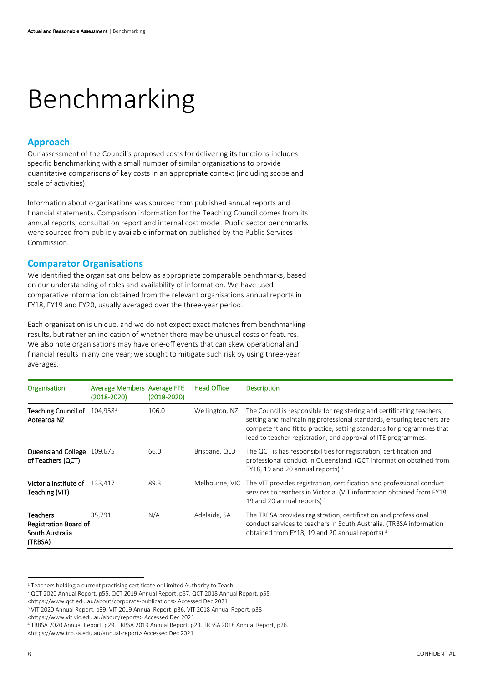# <span id="page-8-0"></span>Benchmarking

### **Approach**

Our assessment of the Council's proposed costs for delivering its functions includes specific benchmarking with a small number of similar organisations to provide quantitative comparisons of key costs in an appropriate context (including scope and scale of activities).

Information about organisations was sourced from published annual reports and financial statements. Comparison information for the Teaching Council comes from its annual reports, consultation report and internal cost model. Public sector benchmarks were sourced from publicly available information published by the Public Services Commission.

#### **Comparator Organisations**

We identified the organisations below as appropriate comparable benchmarks, based on our understanding of roles and availability of information. We have used comparative information obtained from the relevant organisations annual reports in FY18, FY19 and FY20, usually averaged over the three-year period.

Each organisation is unique, and we do not expect exact matches from benchmarking results, but rather an indication of whether there may be unusual costs or features. We also note organisations may have one-off events that can skew operational and financial results in any one year; we sought to mitigate such risk by using three-year averages.

| Organisation                                                           | <b>Average Members Average FTE</b><br>(2018-2020) | $(2018 - 2020)$ | <b>Head Office</b> | <b>Description</b>                                                                                                                                                                                                                                                                       |
|------------------------------------------------------------------------|---------------------------------------------------|-----------------|--------------------|------------------------------------------------------------------------------------------------------------------------------------------------------------------------------------------------------------------------------------------------------------------------------------------|
| Teaching Council of $104,9581$<br>Aotearoa NZ                          |                                                   | 106.0           | Wellington, NZ     | The Council is responsible for registering and certificating teachers,<br>setting and maintaining professional standards, ensuring teachers are<br>competent and fit to practice, setting standards for programmes that<br>lead to teacher registration, and approval of ITE programmes. |
| Queensland College 109,675<br>of Teachers (QCT)                        |                                                   | 66.0            | Brisbane, QLD      | The QCT is has responsibilities for registration, certification and<br>professional conduct in Queensland. (QCT information obtained from<br>FY18, 19 and 20 annual reports) <sup>2</sup>                                                                                                |
| <b>Victoria Institute of</b> 133.417<br>Teaching (VIT)                 |                                                   | 89.3            | Melbourne, VIC     | The VIT provides registration, certification and professional conduct<br>services to teachers in Victoria. (VIT information obtained from FY18,<br>19 and 20 annual reports) <sup>3</sup>                                                                                                |
| <b>Teachers</b><br>Registration Board of<br>South Australia<br>(TRBSA) | 35.791                                            | N/A             | Adelaide, SA       | The TRBSA provides registration, certification and professional<br>conduct services to teachers in South Australia. (TRBSA information<br>obtained from FY18, 19 and 20 annual reports) 4                                                                                                |

 $1$  Teachers holding a current practising certificate or Limited Authority to Teach

<sup>2</sup> QCT 2020 Annual Report, p55. QCT 2019 Annual Report, p57. QCT 2018 Annual Report, p55

<sup>&</sup>lt;https://www.qct.edu.au/about/corporate-publications> Accessed Dec 2021

<sup>3</sup> VIT 2020 Annual Report, p39. VIT 2019 Annual Report, p36. VIT 2018 Annual Report, p38

<sup>&</sup>lt;https://www.vit.vic.edu.au/about/reports> Accessed Dec 2021

<sup>4</sup> TRBSA 2020 Annual Report, p29. TRBSA 2019 Annual Report, p23. TRBSA 2018 Annual Report, p26.

<sup>&</sup>lt;https://www.trb.sa.edu.au/annual-report> Accessed Dec 2021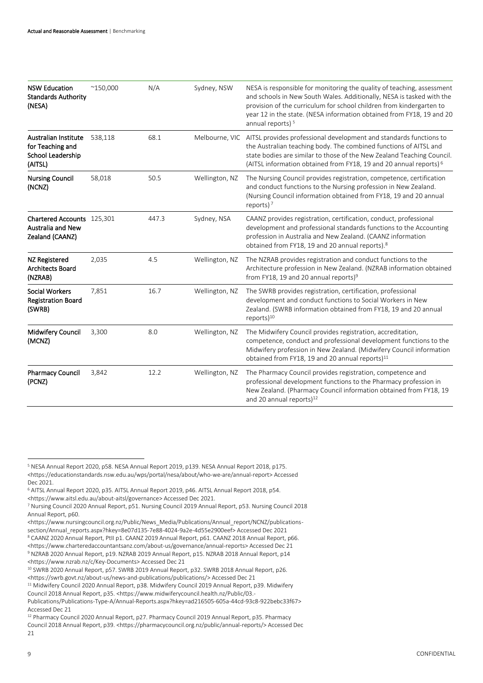| <b>NSW Education</b><br><b>Standards Authority</b><br>(NESA)                    | $^{\sim}$ 150,000 | N/A   | Sydney, NSW    | NESA is responsible for monitoring the quality of teaching, assessment<br>and schools in New South Wales. Additionally, NESA is tasked with the<br>provision of the curriculum for school children from kindergarten to<br>year 12 in the state. (NESA information obtained from FY18, 19 and 20<br>annual reports) <sup>5</sup> |  |  |
|---------------------------------------------------------------------------------|-------------------|-------|----------------|----------------------------------------------------------------------------------------------------------------------------------------------------------------------------------------------------------------------------------------------------------------------------------------------------------------------------------|--|--|
| <b>Australian Institute</b><br>for Teaching and<br>School Leadership<br>(AITSL) | 538,118           | 68.1  | Melbourne, VIC | AITSL provides professional development and standards functions to<br>the Australian teaching body. The combined functions of AITSL and<br>state bodies are similar to those of the New Zealand Teaching Council.<br>(AITSL information obtained from FY18, 19 and 20 annual reports) <sup>6</sup>                               |  |  |
| <b>Nursing Council</b><br>(NCNZ)                                                | 58,018            | 50.5  | Wellington, NZ | The Nursing Council provides registration, competence, certification<br>and conduct functions to the Nursing profession in New Zealand.<br>(Nursing Council information obtained from FY18, 19 and 20 annual<br>reports) $7$                                                                                                     |  |  |
| Chartered Accounts 125,301<br><b>Australia and New</b><br>Zealand (CAANZ)       |                   | 447.3 | Sydney, NSA    | CAANZ provides registration, certification, conduct, professional<br>development and professional standards functions to the Accounting<br>profession in Australia and New Zealand. (CAANZ information<br>obtained from FY18, 19 and 20 annual reports). <sup>8</sup>                                                            |  |  |
| <b>NZ Registered</b><br><b>Architects Board</b><br>(NZRAB)                      | 2,035             | 4.5   | Wellington, NZ | The NZRAB provides registration and conduct functions to the<br>Architecture profession in New Zealand. (NZRAB information obtained<br>from FY18, 19 and 20 annual reports) <sup>9</sup>                                                                                                                                         |  |  |
| <b>Social Workers</b><br><b>Registration Board</b><br>(SWRB)                    | 7,851             | 16.7  | Wellington, NZ | The SWRB provides registration, certification, professional<br>development and conduct functions to Social Workers in New<br>Zealand. (SWRB information obtained from FY18, 19 and 20 annual<br>reports) $10$                                                                                                                    |  |  |
| Midwifery Council<br>(MCNZ)                                                     | 3,300             | 8.0   | Wellington, NZ | The Midwifery Council provides registration, accreditation,<br>competence, conduct and professional development functions to the<br>Midwifery profession in New Zealand. (Midwifery Council information<br>obtained from FY18, 19 and 20 annual reports) <sup>11</sup>                                                           |  |  |
| <b>Pharmacy Council</b><br>(PCNZ)                                               | 3,842             | 12.2  | Wellington, NZ | The Pharmacy Council provides registration, competence and<br>professional development functions to the Pharmacy profession in<br>New Zealand. (Pharmacy Council information obtained from FY18, 19<br>and 20 annual reports) <sup>12</sup>                                                                                      |  |  |

<sup>5</sup> NESA Annual Report 2020, p58. NESA Annual Report 2019, p139. NESA Annual Report 2018, p175. <https://educationstandards.nsw.edu.au/wps/portal/nesa/about/who-we-are/annual-report> Accessed Dec 2021.

<sup>6</sup> AITSL Annual Report 2020, p35. AITSL Annual Report 2019, p46. AITSL Annual Report 2018, p54. <https://www.aitsl.edu.au/about-aitsl/governance> Accessed Dec 2021.

<sup>7</sup> Nursing Council 2020 Annual Report, p51. Nursing Council 2019 Annual Report, p53. Nursing Council 2018 Annual Report, p60.

<sup>&</sup>lt;https://www.nursingcouncil.org.nz/Public/News\_Media/Publications/Annual\_report/NCNZ/publicationssection/Annual\_reports.aspx?hkey=8e07d135-7e88-4024-9a2e-4d55e2900eef> Accessed Dec 2021

<sup>8</sup> CAANZ 2020 Annual Report, PtII p1. CAANZ 2019 Annual Report, p61. CAANZ 2018 Annual Report, p66. <https://www.charteredaccountantsanz.com/about-us/governance/annual-reports> Accessed Dec 21 <sup>9</sup> NZRAB 2020 Annual Report, p19. NZRAB 2019 Annual Report, p15. NZRAB 2018 Annual Report, p14 <https://www.nzrab.nz/c/Key-Documents> Accessed Dec 21

<sup>10</sup> SWRB 2020 Annual Report, p57. SWRB 2019 Annual Report, p32. SWRB 2018 Annual Report, p26. <https://swrb.govt.nz/about-us/news-and-publications/publications/> Accessed Dec 21

<sup>11</sup> Midwifery Council 2020 Annual Report, p38. Midwifery Council 2019 Annual Report, p39. Midwifery Council 2018 Annual Report, p35. <https://www.midwiferycouncil.health.nz/Public/03.-

Publications/Publications-Type-A/Annual-Reports.aspx?hkey=ad216505-605a-44cd-93c8-922bebc33f67> Accessed Dec 21

<sup>&</sup>lt;sup>12</sup> Pharmacy Council 2020 Annual Report, p27. Pharmacy Council 2019 Annual Report, p35. Pharmacy Council 2018 Annual Report, p39. <https://pharmacycouncil.org.nz/public/annual-reports/> Accessed Dec 21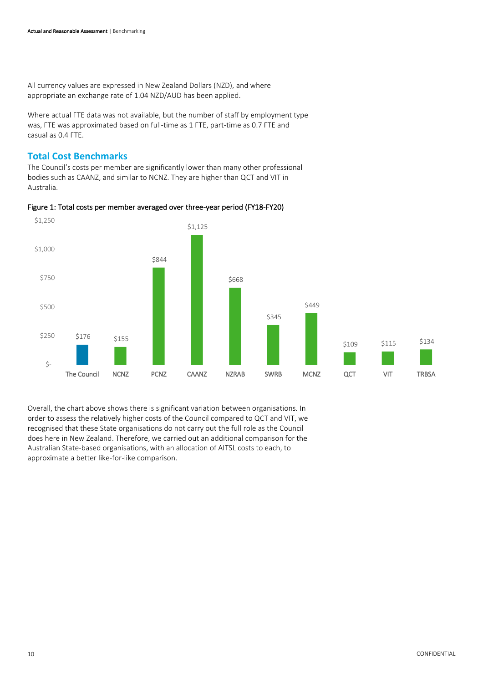All currency values are expressed in New Zealand Dollars (NZD), and where appropriate an exchange rate of 1.04 NZD/AUD has been applied.

Where actual FTE data was not available, but the number of staff by employment type was, FTE was approximated based on full-time as 1 FTE, part-time as 0.7 FTE and casual as 0.4 FTE.

### **Total Cost Benchmarks**

The Council's costs per member are significantly lower than many other professional bodies such as CAANZ, and similar to NCNZ. They are higher than QCT and VIT in Australia.





Overall, the chart above shows there is significant variation between organisations. In order to assess the relatively higher costs of the Council compared to QCT and VIT, we recognised that these State organisations do not carry out the full role as the Council does here in New Zealand. Therefore, we carried out an additional comparison for the Australian State-based organisations, with an allocation of AITSL costs to each, to approximate a better like-for-like comparison.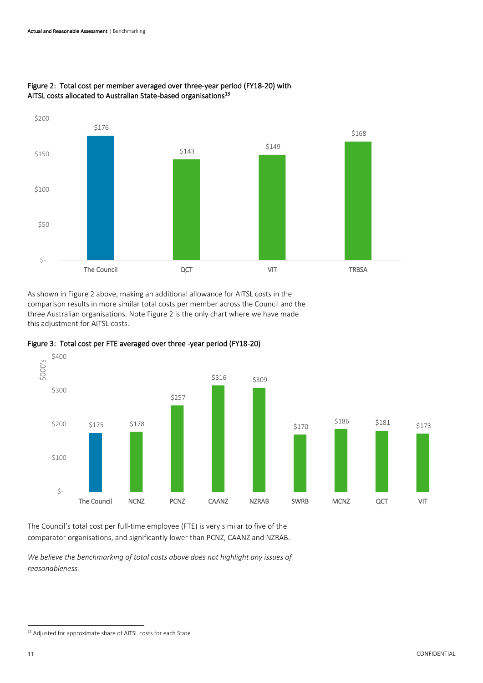

#### Figure 2: Total cost per member averaged over three-year period (FY18-20) with AITSL costs allocated to Australian State-based organisations<sup>13</sup>

As shown in Figure 2 above, making an additional allowance for AITSL costs in the comparison results in more similar total costs per member across the Council and the three Australian organisations. Note Figure 2 is the only chart where we have made this adjustment for AITSL costs.





The Council's total cost per full-time employee (FTE) is very similar to five of the comparator organisations, and significantly lower than PCNZ, CAANZ and NZRAB.

*We believe the benchmarking of total costs above does not highlight any issues of reasonableness.*

<sup>&</sup>lt;sup>13</sup> Adjusted for approximate share of AITSL costs for each State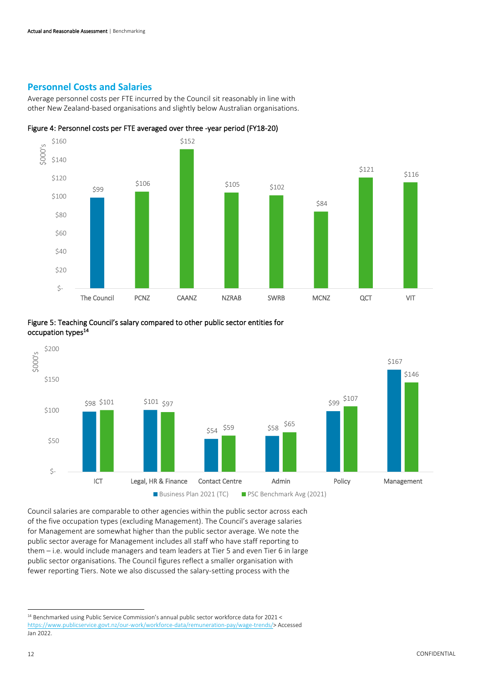#### **Personnel Costs and Salaries**

Average personnel costs per FTE incurred by the Council sit reasonably in line with other New Zealand-based organisations and slightly below Australian organisations.









Council salaries are comparable to other agencies within the public sector across each of the five occupation types (excluding Management). The Council's average salaries for Management are somewhat higher than the public sector average. We note the public sector average for Management includes all staff who have staff reporting to them – i.e. would include managers and team leaders at Tier 5 and even Tier 6 in large public sector organisations. The Council figures reflect a smaller organisation with fewer reporting Tiers. Note we also discussed the salary-setting process with the

<sup>14</sup> Benchmarked using Public Service Commission's annual public sector workforce data for 2021 < [https://www.publicservice.govt.nz/our-work/workforce-data/remuneration-pay/wage-trends/>](https://www.publicservice.govt.nz/our-work/workforce-data/remuneration-pay/wage-trends/) Accessed Jan 2022.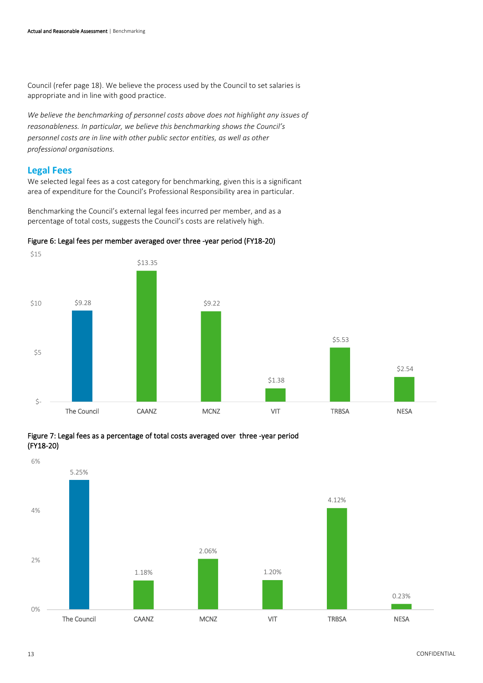Council (refer page 18). We believe the process used by the Council to set salaries is appropriate and in line with good practice.

*We believe the benchmarking of personnel costs above does not highlight any issues of reasonableness. In particular, we believe this benchmarking shows the Council's personnel costs are in line with other public sector entities, as well as other professional organisations.*

#### **Legal Fees**

We selected legal fees as a cost category for benchmarking, given this is a significant area of expenditure for the Council's Professional Responsibility area in particular.

Benchmarking the Council's external legal fees incurred per member, and as a percentage of total costs, suggests the Council's costs are relatively high.



#### Figure 6: Legal fees per member averaged over three -year period (FY18-20)



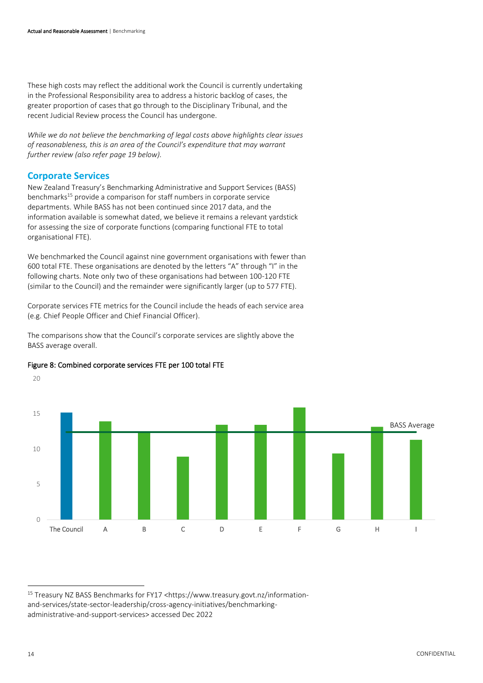These high costs may reflect the additional work the Council is currently undertaking in the Professional Responsibility area to address a historic backlog of cases, the greater proportion of cases that go through to the Disciplinary Tribunal, and the recent Judicial Review process the Council has undergone.

*While we do not believe the benchmarking of legal costs above highlights clear issues of reasonableness, this is an area of the Council's expenditure that may warrant further review (also refer page 19 below).*

#### **Corporate Services**

New Zealand Treasury's Benchmarking Administrative and Support Services (BASS) benchmarks<sup>15</sup> provide a comparison for staff numbers in corporate service departments. While BASS has not been continued since 2017 data, and the information available is somewhat dated, we believe it remains a relevant yardstick for assessing the size of corporate functions (comparing functional FTE to total organisational FTE).

We benchmarked the Council against nine government organisations with fewer than 600 total FTE. These organisations are denoted by the letters "A" through "I" in the following charts. Note only two of these organisations had between 100-120 FTE (similar to the Council) and the remainder were significantly larger (up to 577 FTE).

Corporate services FTE metrics for the Council include the heads of each service area (e.g. Chief People Officer and Chief Financial Officer).

The comparisons show that the Council's corporate services are slightly above the BASS average overall.



Figure 8: Combined corporate services FTE per 100 total FTE

20

<sup>&</sup>lt;sup>15</sup> Treasury NZ BASS Benchmarks for FY17 <https://www.treasury.govt.nz/informationand-services/state-sector-leadership/cross-agency-initiatives/benchmarkingadministrative-and-support-services> accessed Dec 2022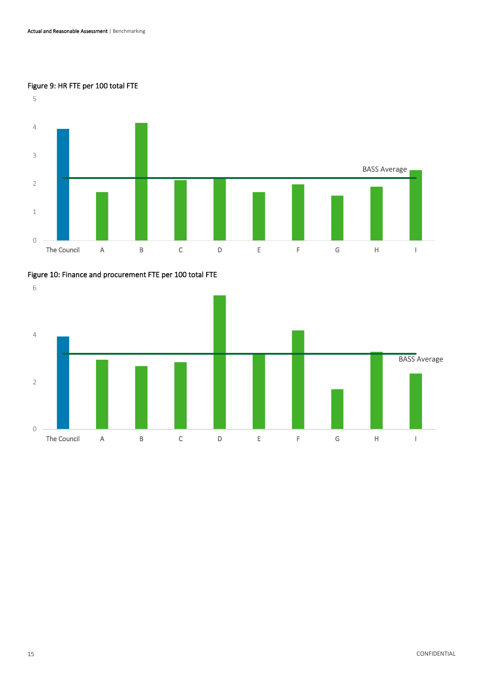#### Figure 9: HR FTE per 100 total FTE



#### Figure 10: Finance and procurement FTE per 100 total FTE

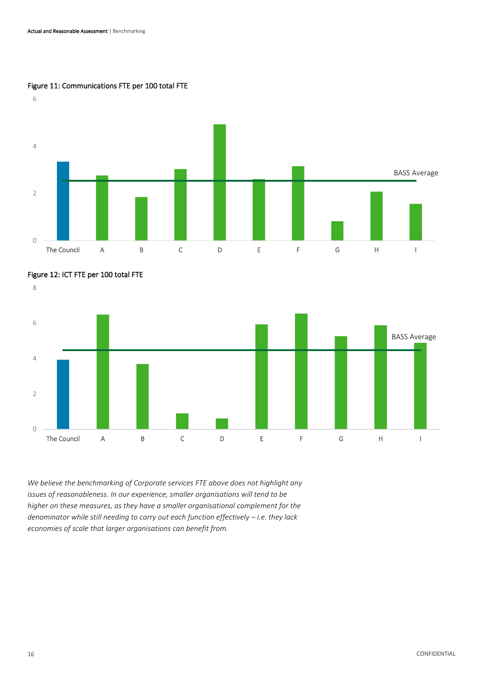#### Figure 11: Communications FTE per 100 total FTE





*We believe the benchmarking of Corporate services FTE above does not highlight any issues of reasonableness. In our experience, smaller organisations will tend to be higher on these measures, as they have a smaller organisational complement for the denominator while still needing to carry out each function effectively – i.e. they lack economies of scale that larger organisations can benefit from.*

#### 16 CONFIDENTIAL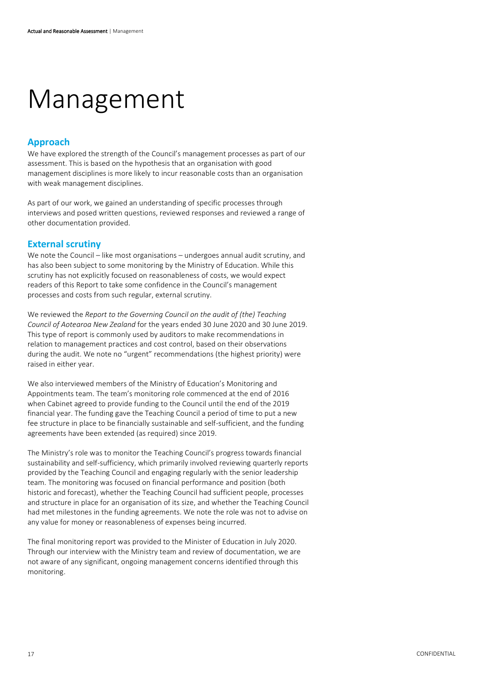# <span id="page-17-0"></span>Management

### **Approach**

We have explored the strength of the Council's management processes as part of our assessment. This is based on the hypothesis that an organisation with good management disciplines is more likely to incur reasonable costs than an organisation with weak management disciplines.

As part of our work, we gained an understanding of specific processes through interviews and posed written questions, reviewed responses and reviewed a range of other documentation provided.

#### **External scrutiny**

We note the Council – like most organisations – undergoes annual audit scrutiny, and has also been subject to some monitoring by the Ministry of Education. While this scrutiny has not explicitly focused on reasonableness of costs, we would expect readers of this Report to take some confidence in the Council's management processes and costs from such regular, external scrutiny.

We reviewed the *Report to the Governing Council on the audit of (the) Teaching Council of Aotearoa New Zealand* for the years ended 30 June 2020 and 30 June 2019. This type of report is commonly used by auditors to make recommendations in relation to management practices and cost control, based on their observations during the audit. We note no "urgent" recommendations (the highest priority) were raised in either year.

We also interviewed members of the Ministry of Education's Monitoring and Appointments team. The team's monitoring role commenced at the end of 2016 when Cabinet agreed to provide funding to the Council until the end of the 2019 financial year. The funding gave the Teaching Council a period of time to put a new fee structure in place to be financially sustainable and self-sufficient, and the funding agreements have been extended (as required) since 2019.

The Ministry's role was to monitor the Teaching Council's progress towards financial sustainability and self-sufficiency, which primarily involved reviewing quarterly reports provided by the Teaching Council and engaging regularly with the senior leadership team. The monitoring was focused on financial performance and position (both historic and forecast), whether the Teaching Council had sufficient people, processes and structure in place for an organisation of its size, and whether the Teaching Council had met milestones in the funding agreements. We note the role was not to advise on any value for money or reasonableness of expenses being incurred.

The final monitoring report was provided to the Minister of Education in July 2020. Through our interview with the Ministry team and review of documentation, we are not aware of any significant, ongoing management concerns identified through this monitoring.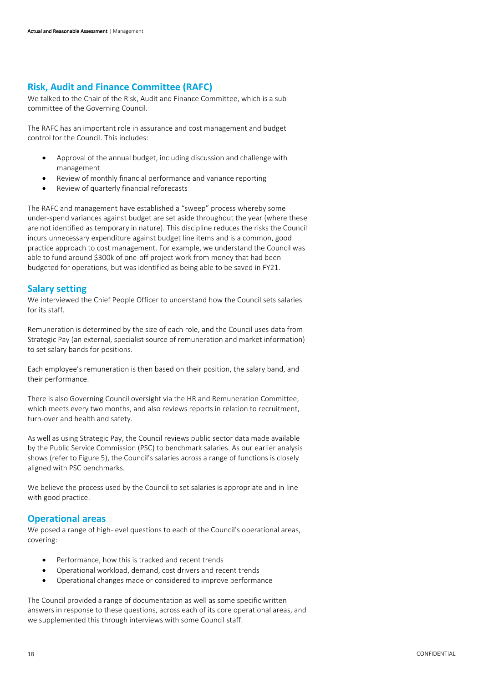#### **Risk, Audit and Finance Committee (RAFC)**

We talked to the Chair of the Risk, Audit and Finance Committee, which is a subcommittee of the Governing Council.

The RAFC has an important role in assurance and cost management and budget control for the Council. This includes:

- Approval of the annual budget, including discussion and challenge with management
- Review of monthly financial performance and variance reporting
- Review of quarterly financial reforecasts

The RAFC and management have established a "sweep" process whereby some under-spend variances against budget are set aside throughout the year (where these are not identified as temporary in nature). This discipline reduces the risks the Council incurs unnecessary expenditure against budget line items and is a common, good practice approach to cost management. For example, we understand the Council was able to fund around \$300k of one-off project work from money that had been budgeted for operations, but was identified as being able to be saved in FY21.

#### **Salary setting**

We interviewed the Chief People Officer to understand how the Council sets salaries for its staff.

Remuneration is determined by the size of each role, and the Council uses data from Strategic Pay (an external, specialist source of remuneration and market information) to set salary bands for positions.

Each employee's remuneration is then based on their position, the salary band, and their performance.

There is also Governing Council oversight via the HR and Remuneration Committee, which meets every two months, and also reviews reports in relation to recruitment, turn-over and health and safety.

As well as using Strategic Pay, the Council reviews public sector data made available by the Public Service Commission (PSC) to benchmark salaries. As our earlier analysis shows (refer to Figure 5), the Council's salaries across a range of functions is closely aligned with PSC benchmarks.

We believe the process used by the Council to set salaries is appropriate and in line with good practice.

#### **Operational areas**

We posed a range of high-level questions to each of the Council's operational areas, covering:

- Performance, how this is tracked and recent trends
- Operational workload, demand, cost drivers and recent trends
- Operational changes made or considered to improve performance

The Council provided a range of documentation as well as some specific written answers in response to these questions, across each of its core operational areas, and we supplemented this through interviews with some Council staff.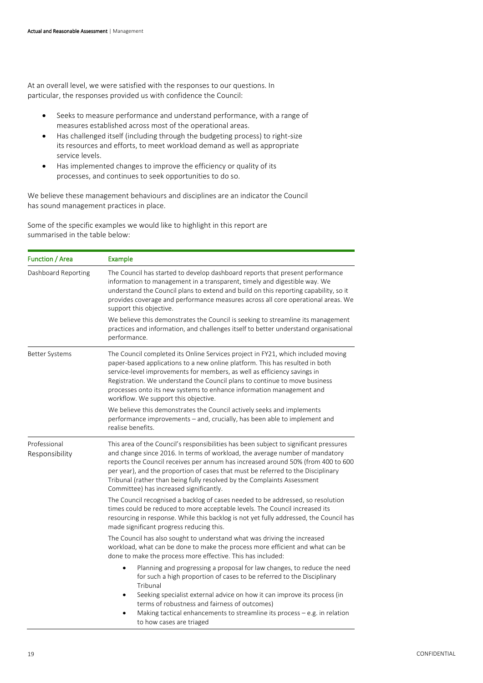At an overall level, we were satisfied with the responses to our questions. In particular, the responses provided us with confidence the Council:

- Seeks to measure performance and understand performance, with a range of measures established across most of the operational areas.
- Has challenged itself (including through the budgeting process) to right-size its resources and efforts, to meet workload demand as well as appropriate service levels.
- Has implemented changes to improve the efficiency or quality of its processes, and continues to seek opportunities to do so.

We believe these management behaviours and disciplines are an indicator the Council has sound management practices in place.

Some of the specific examples we would like to highlight in this report are summarised in the table below:

| <b>Function / Area</b>         | <b>Example</b>                                                                                                                                                                                                                                                                                                                                                                                                                                                      |  |  |  |  |
|--------------------------------|---------------------------------------------------------------------------------------------------------------------------------------------------------------------------------------------------------------------------------------------------------------------------------------------------------------------------------------------------------------------------------------------------------------------------------------------------------------------|--|--|--|--|
| Dashboard Reporting            | The Council has started to develop dashboard reports that present performance<br>information to management in a transparent, timely and digestible way. We<br>understand the Council plans to extend and build on this reporting capability, so it<br>provides coverage and performance measures across all core operational areas. We<br>support this objective.                                                                                                   |  |  |  |  |
|                                | We believe this demonstrates the Council is seeking to streamline its management<br>practices and information, and challenges itself to better understand organisational<br>performance.                                                                                                                                                                                                                                                                            |  |  |  |  |
| <b>Better Systems</b>          | The Council completed its Online Services project in FY21, which included moving<br>paper-based applications to a new online platform. This has resulted in both<br>service-level improvements for members, as well as efficiency savings in<br>Registration. We understand the Council plans to continue to move business<br>processes onto its new systems to enhance information management and<br>workflow. We support this objective.                          |  |  |  |  |
|                                | We believe this demonstrates the Council actively seeks and implements<br>performance improvements - and, crucially, has been able to implement and<br>realise benefits.                                                                                                                                                                                                                                                                                            |  |  |  |  |
| Professional<br>Responsibility | This area of the Council's responsibilities has been subject to significant pressures<br>and change since 2016. In terms of workload, the average number of mandatory<br>reports the Council receives per annum has increased around 50% (from 400 to 600<br>per year), and the proportion of cases that must be referred to the Disciplinary<br>Tribunal (rather than being fully resolved by the Complaints Assessment<br>Committee) has increased significantly. |  |  |  |  |
|                                | The Council recognised a backlog of cases needed to be addressed, so resolution<br>times could be reduced to more acceptable levels. The Council increased its<br>resourcing in response. While this backlog is not yet fully addressed, the Council has<br>made significant progress reducing this.                                                                                                                                                                |  |  |  |  |
|                                | The Council has also sought to understand what was driving the increased<br>workload, what can be done to make the process more efficient and what can be<br>done to make the process more effective. This has included:                                                                                                                                                                                                                                            |  |  |  |  |
|                                | Planning and progressing a proposal for law changes, to reduce the need<br>for such a high proportion of cases to be referred to the Disciplinary<br>Tribunal                                                                                                                                                                                                                                                                                                       |  |  |  |  |
|                                | Seeking specialist external advice on how it can improve its process (in<br>$\bullet$<br>terms of robustness and fairness of outcomes)                                                                                                                                                                                                                                                                                                                              |  |  |  |  |
|                                | Making tactical enhancements to streamline its process $-e.g.$ in relation<br>to how cases are triaged                                                                                                                                                                                                                                                                                                                                                              |  |  |  |  |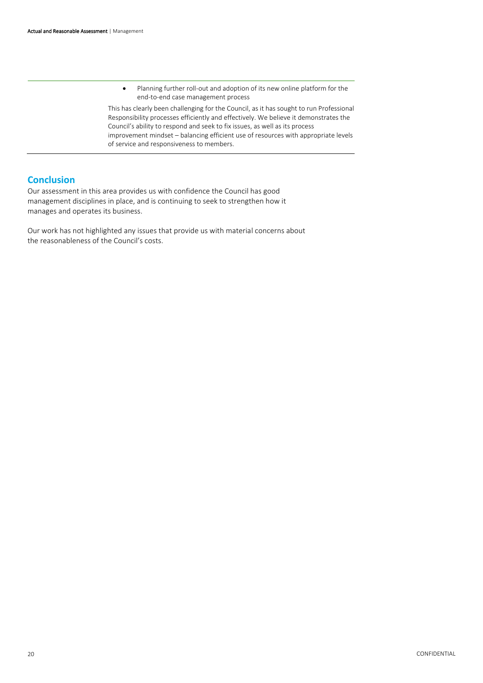• Planning further roll-out and adoption of its new online platform for the end-to-end case management process

This has clearly been challenging for the Council, as it has sought to run Professional Responsibility processes efficiently and effectively. We believe it demonstrates the Council's ability to respond and seek to fix issues, as well as its process improvement mindset – balancing efficient use of resources with appropriate levels of service and responsiveness to members.

#### **Conclusion**

Our assessment in this area provides us with confidence the Council has good management disciplines in place, and is continuing to seek to strengthen how it manages and operates its business.

Our work has not highlighted any issues that provide us with material concerns about the reasonableness of the Council's costs.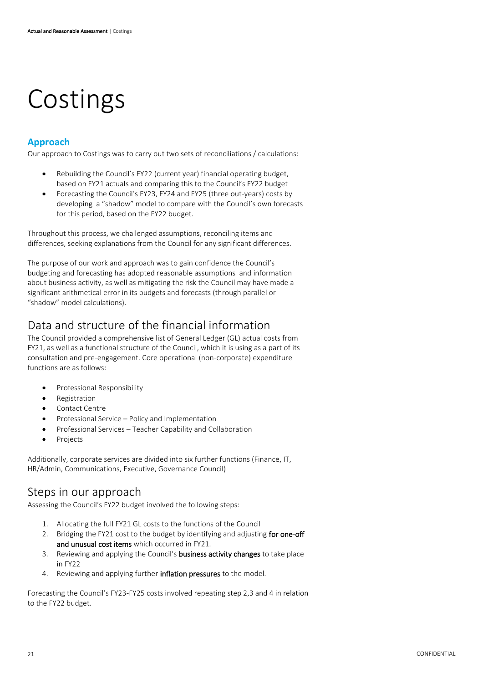# <span id="page-21-0"></span>Costings

### **Approach**

Our approach to Costings was to carry out two sets of reconciliations / calculations:

- Rebuilding the Council's FY22 (current year) financial operating budget, based on FY21 actuals and comparing this to the Council's FY22 budget
- Forecasting the Council's FY23, FY24 and FY25 (three out-years) costs by developing a "shadow" model to compare with the Council's own forecasts for this period, based on the FY22 budget.

Throughout this process, we challenged assumptions, reconciling items and differences, seeking explanations from the Council for any significant differences.

The purpose of our work and approach was to gain confidence the Council's budgeting and forecasting has adopted reasonable assumptions and information about business activity, as well as mitigating the risk the Council may have made a significant arithmetical error in its budgets and forecasts (through parallel or "shadow" model calculations).

# Data and structure of the financial information

The Council provided a comprehensive list of General Ledger (GL) actual costs from FY21, as well as a functional structure of the Council, which it is using as a part of its consultation and pre-engagement. Core operational (non-corporate) expenditure functions are as follows:

- Professional Responsibility
- **Registration**
- Contact Centre
- Professional Service Policy and Implementation
- Professional Services Teacher Capability and Collaboration
- **Projects**

Additionally, corporate services are divided into six further functions (Finance, IT, HR/Admin, Communications, Executive, Governance Council)

## Steps in our approach

Assessing the Council's FY22 budget involved the following steps:

- 1. Allocating the full FY21 GL costs to the functions of the Council
- 2. Bridging the FY21 cost to the budget by identifying and adjusting for one-off and unusual cost items which occurred in FY21.
- 3. Reviewing and applying the Council's business activity changes to take place in FY22
- 4. Reviewing and applying further inflation pressures to the model.

Forecasting the Council's FY23-FY25 costs involved repeating step 2,3 and 4 in relation to the FY22 budget.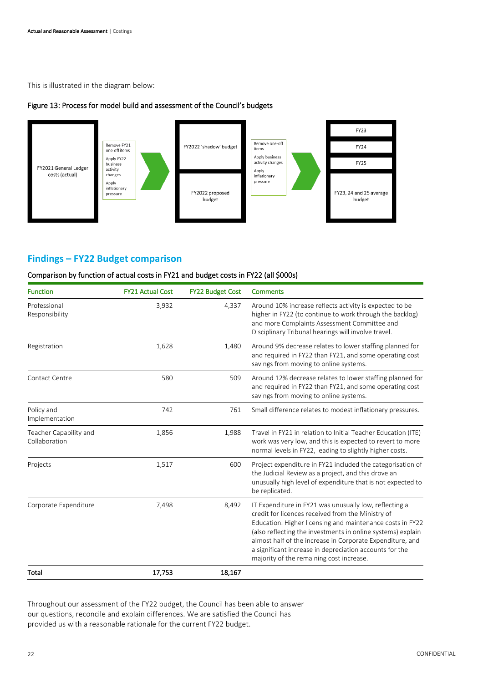This is illustrated in the diagram below:

#### Figure 13: Process for model build and assessment of the Council's budgets



#### **Findings – FY22 Budget comparison**

#### Comparison by function of actual costs in FY21 and budget costs in FY22 (all \$000s)

| <b>Function</b>                         | <b>FY21 Actual Cost</b> | <b>FY22 Budget Cost</b> | <b>Comments</b>                                                                                                                                                                                                                                                                                                                                                                                             |  |
|-----------------------------------------|-------------------------|-------------------------|-------------------------------------------------------------------------------------------------------------------------------------------------------------------------------------------------------------------------------------------------------------------------------------------------------------------------------------------------------------------------------------------------------------|--|
| Professional<br>Responsibility          | 3,932                   | 4,337                   | Around 10% increase reflects activity is expected to be<br>higher in FY22 (to continue to work through the backlog)<br>and more Complaints Assessment Committee and<br>Disciplinary Tribunal hearings will involve travel.                                                                                                                                                                                  |  |
| Registration                            | 1,628                   | 1,480                   | Around 9% decrease relates to lower staffing planned for<br>and required in FY22 than FY21, and some operating cost<br>savings from moving to online systems.                                                                                                                                                                                                                                               |  |
| Contact Centre                          | 580                     | 509                     | Around 12% decrease relates to lower staffing planned for<br>and required in FY22 than FY21, and some operating cost<br>savings from moving to online systems.                                                                                                                                                                                                                                              |  |
| Policy and<br>Implementation            | 742                     | 761                     | Small difference relates to modest inflationary pressures.                                                                                                                                                                                                                                                                                                                                                  |  |
| Teacher Capability and<br>Collaboration | 1,856                   | 1,988                   | Travel in FY21 in relation to Initial Teacher Education (ITE)<br>work was very low, and this is expected to revert to more<br>normal levels in FY22, leading to slightly higher costs.                                                                                                                                                                                                                      |  |
| Projects                                | 1,517                   | 600                     | Project expenditure in FY21 included the categorisation of<br>the Judicial Review as a project, and this drove an<br>unusually high level of expenditure that is not expected to<br>be replicated.                                                                                                                                                                                                          |  |
| Corporate Expenditure                   | 7,498                   | 8,492                   | IT Expenditure in FY21 was unusually low, reflecting a<br>credit for licences received from the Ministry of<br>Education. Higher licensing and maintenance costs in FY22<br>(also reflecting the investments in online systems) explain<br>almost half of the increase in Corporate Expenditure, and<br>a significant increase in depreciation accounts for the<br>majority of the remaining cost increase. |  |
| Total                                   | 17,753                  | 18,167                  |                                                                                                                                                                                                                                                                                                                                                                                                             |  |

Throughout our assessment of the FY22 budget, the Council has been able to answer our questions, reconcile and explain differences. We are satisfied the Council has provided us with a reasonable rationale for the current FY22 budget.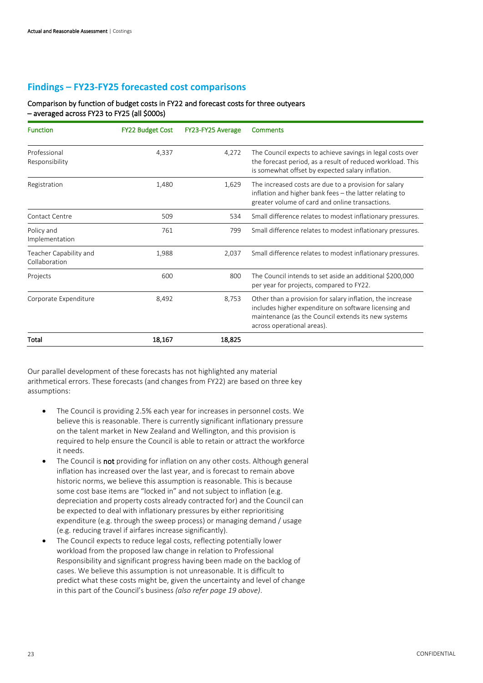#### **Findings – FY23-FY25 forecasted cost comparisons**

#### Comparison by function of budget costs in FY22 and forecast costs for three outyears – averaged across FY23 to FY25 (all \$000s)

| <b>Function</b>                         | <b>FY22 Budget Cost</b> | FY23-FY25 Average | Comments                                                                                                                                                                                                |  |
|-----------------------------------------|-------------------------|-------------------|---------------------------------------------------------------------------------------------------------------------------------------------------------------------------------------------------------|--|
| Professional<br>Responsibility          | 4,337                   | 4,272             | The Council expects to achieve savings in legal costs over<br>the forecast period, as a result of reduced workload. This<br>is somewhat offset by expected salary inflation.                            |  |
| Registration                            | 1,480                   | 1,629             | The increased costs are due to a provision for salary<br>inflation and higher bank fees - the latter relating to<br>greater volume of card and online transactions.                                     |  |
| Contact Centre                          | 509                     | 534               | Small difference relates to modest inflationary pressures.                                                                                                                                              |  |
| Policy and<br>Implementation            | 761                     | 799               | Small difference relates to modest inflationary pressures.                                                                                                                                              |  |
| Teacher Capability and<br>Collaboration | 1,988                   | 2,037             | Small difference relates to modest inflationary pressures.                                                                                                                                              |  |
| Projects                                | 600                     | 800               | The Council intends to set aside an additional \$200,000<br>per year for projects, compared to FY22.                                                                                                    |  |
| Corporate Expenditure                   | 8,492                   | 8,753             | Other than a provision for salary inflation, the increase<br>includes higher expenditure on software licensing and<br>maintenance (as the Council extends its new systems<br>across operational areas). |  |
| Total                                   | 18,167                  | 18,825            |                                                                                                                                                                                                         |  |

Our parallel development of these forecasts has not highlighted any material arithmetical errors. These forecasts (and changes from FY22) are based on three key assumptions:

- The Council is providing 2.5% each year for increases in personnel costs. We believe this is reasonable. There is currently significant inflationary pressure on the talent market in New Zealand and Wellington, and this provision is required to help ensure the Council is able to retain or attract the workforce it needs.
- The Council is not providing for inflation on any other costs. Although general inflation has increased over the last year, and is forecast to remain above historic norms, we believe this assumption is reasonable. This is because some cost base items are "locked in" and not subject to inflation (e.g. depreciation and property costs already contracted for) and the Council can be expected to deal with inflationary pressures by either reprioritising expenditure (e.g. through the sweep process) or managing demand / usage (e.g. reducing travel if airfares increase significantly).
- The Council expects to reduce legal costs, reflecting potentially lower workload from the proposed law change in relation to Professional Responsibility and significant progress having been made on the backlog of cases. We believe this assumption is not unreasonable. It is difficult to predict what these costs might be, given the uncertainty and level of change in this part of the Council's business *(also refer page 19 above)*.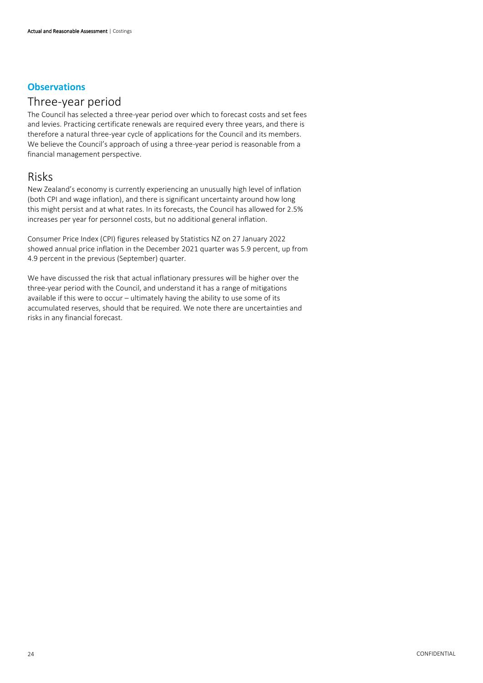### **Observations**

### Three-year period

The Council has selected a three-year period over which to forecast costs and set fees and levies. Practicing certificate renewals are required every three years, and there is therefore a natural three-year cycle of applications for the Council and its members. We believe the Council's approach of using a three-year period is reasonable from a financial management perspective.

### Risks

New Zealand's economy is currently experiencing an unusually high level of inflation (both CPI and wage inflation), and there is significant uncertainty around how long this might persist and at what rates. In its forecasts, the Council has allowed for 2.5% increases per year for personnel costs, but no additional general inflation.

Consumer Price Index (CPI) figures released by Statistics NZ on 27 January 2022 showed annual price inflation in the December 2021 quarter was 5.9 percent, up from 4.9 percent in the previous (September) quarter.

We have discussed the risk that actual inflationary pressures will be higher over the three-year period with the Council, and understand it has a range of mitigations available if this were to occur – ultimately having the ability to use some of its accumulated reserves, should that be required. We note there are uncertainties and risks in any financial forecast.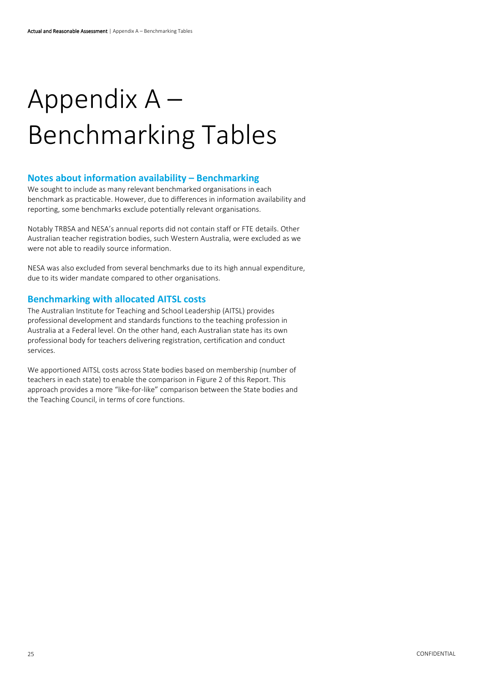# <span id="page-25-0"></span>Appendix A – Benchmarking Tables

#### **Notes about information availability – Benchmarking**

We sought to include as many relevant benchmarked organisations in each benchmark as practicable. However, due to differences in information availability and reporting, some benchmarks exclude potentially relevant organisations.

Notably TRBSA and NESA's annual reports did not contain staff or FTE details. Other Australian teacher registration bodies, such Western Australia, were excluded as we were not able to readily source information.

NESA was also excluded from several benchmarks due to its high annual expenditure, due to its wider mandate compared to other organisations.

#### **Benchmarking with allocated AITSL costs**

The Australian Institute for Teaching and School Leadership (AITSL) provides professional development and standards functions to the teaching profession in Australia at a Federal level. On the other hand, each Australian state has its own professional body for teachers delivering registration, certification and conduct services.

We apportioned AITSL costs across State bodies based on membership (number of teachers in each state) to enable the comparison in Figure 2 of this Report. This approach provides a more "like-for-like" comparison between the State bodies and the Teaching Council, in terms of core functions.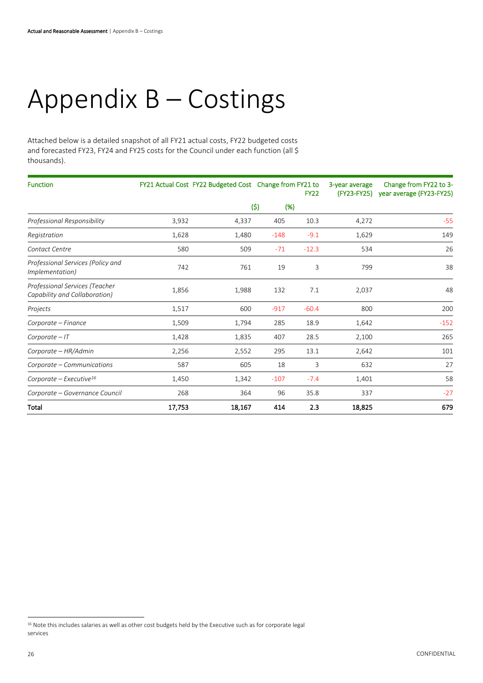# <span id="page-26-0"></span>Appendix B – Costings

Attached below is a detailed snapshot of all FY21 actual costs, FY22 budgeted costs and forecasted FY23, FY24 and FY25 costs for the Council under each function (all \$ thousands).

| <b>Function</b>                                                 |        | FY21 Actual Cost FY22 Budgeted Cost Change from FY21 to<br><b>FY22</b> |        |         | 3-year average | Change from FY22 to 3-<br>(FY23-FY25) year average (FY23-FY25) |
|-----------------------------------------------------------------|--------|------------------------------------------------------------------------|--------|---------|----------------|----------------------------------------------------------------|
|                                                                 |        |                                                                        | (5)    | (% )    |                |                                                                |
| Professional Responsibility                                     | 3,932  | 4,337                                                                  | 405    | 10.3    | 4,272          | $-55$                                                          |
| Registration                                                    | 1,628  | 1,480                                                                  | $-148$ | $-9.1$  | 1,629          | 149                                                            |
| Contact Centre                                                  | 580    | 509                                                                    | $-71$  | $-12.3$ | 534            | 26                                                             |
| Professional Services (Policy and<br><i>Implementation</i> )    | 742    | 761                                                                    | 19     | 3       | 799            | 38                                                             |
| Professional Services (Teacher<br>Capability and Collaboration) | 1,856  | 1,988                                                                  | 132    | 7.1     | 2,037          | 48                                                             |
| Projects                                                        | 1,517  | 600                                                                    | $-917$ | $-60.4$ | 800            | 200                                                            |
| Corporate – Finance                                             | 1,509  | 1,794                                                                  | 285    | 18.9    | 1,642          | $-152$                                                         |
| $Corporate - IT$                                                | 1,428  | 1,835                                                                  | 407    | 28.5    | 2,100          | 265                                                            |
| Corporate - HR/Admin                                            | 2,256  | 2,552                                                                  | 295    | 13.1    | 2,642          | 101                                                            |
| Corporate - Communications                                      | 587    | 605                                                                    | 18     | 3       | 632            | 27                                                             |
| Corporate – Executive <sup>16</sup>                             | 1,450  | 1,342                                                                  | $-107$ | $-7.4$  | 1,401          | 58                                                             |
| Corporate - Governance Council                                  | 268    | 364                                                                    | 96     | 35.8    | 337            | $-27$                                                          |
| Total                                                           | 17,753 | 18,167                                                                 | 414    | 2.3     | 18,825         | 679                                                            |

<sup>&</sup>lt;sup>16</sup> Note this includes salaries as well as other cost budgets held by the Executive such as for corporate legal services